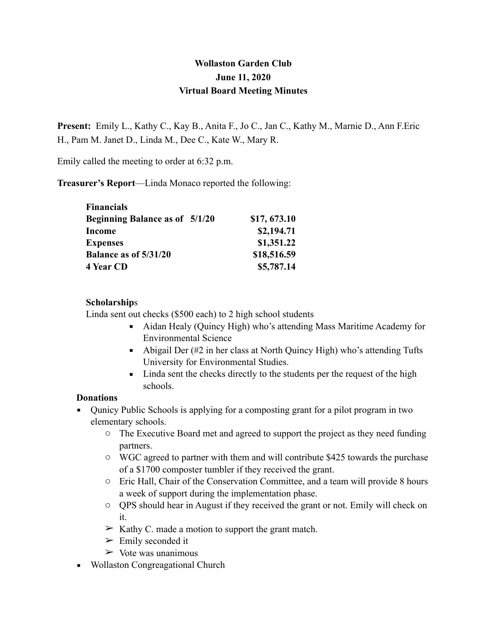# **Wollaston Garden Club June 11, 2020 Virtual Board Meeting Minutes**

**Present:** Emily L., Kathy C., Kay B., Anita F., Jo C., Jan C., Kathy M., Marnie D., Ann F.Eric H., Pam M. Janet D., Linda M., Dee C., Kate W., Mary R.

Emily called the meeting to order at 6:32 p.m.

**Treasurer's Report**—Linda Monaco reported the following:

| <b>Financials</b>                     |              |
|---------------------------------------|--------------|
| <b>Beginning Balance as of 5/1/20</b> | \$17, 673.10 |
| <b>Income</b>                         | \$2,194.71   |
| <b>Expenses</b>                       | \$1,351.22   |
| Balance as of 5/31/20                 | \$18,516.59  |
| 4 Year CD                             | \$5,787.14   |

#### **Scholarship**s

Linda sent out checks (\$500 each) to 2 high school students

- Aidan Healy (Quincy High) who's attending Mass Maritime Academy for Environmental Science
- Abigail Der (#2 in her class at North Quincy High) who's attending Tufts University for Environmental Studies.
- **EXECUTE:** Linda sent the checks directly to the students per the request of the high schools.

#### **Donations**

- Qunicy Public Schools is applying for a composting grant for a pilot program in two elementary schools.
	- o The Executive Board met and agreed to support the project as they need funding partners.
	- o WGC agreed to partner with them and will contribute \$425 towards the purchase of a \$1700 composter tumbler if they received the grant.
	- o Eric Hall, Chair of the Conservation Committee, and a team will provide 8 hours a week of support during the implementation phase.
	- o QPS should hear in August if they received the grant or not. Emily will check on it.
	- $\triangleright$  Kathy C. made a motion to support the grant match.
	- $\triangleright$  Emily seconded it
	- $\triangleright$  Vote was unanimous
- Wollaston Congreagational Church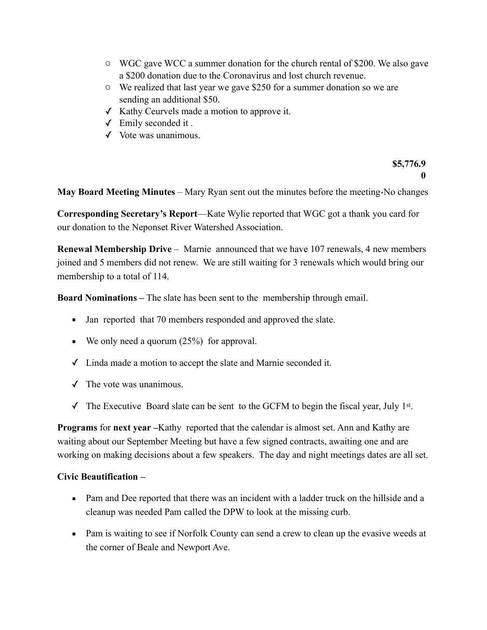- o WGC gave WCC a summer donation for the church rental of \$200. We also gave a \$200 donation due to the Coronavirus and lost church revenue.
- o We realized that last year we gave \$250 for a summer donation so we are sending an additional \$50.
- ✓ Kathy Ceurvels made a motion to approve it.
- ✓ Emily seconded it .
- ✓ Vote was unanimous.

**\$5,776.9 0**

**May Board Meeting Minutes** – Mary Ryan sent out the minutes before the meeting-No changes

**Corresponding Secretary's Report**—Kate Wylie reported that WGC got a thank you card for our donation to the Neponset River Watershed Association.

**Renewal Membership Drive** – Marnie announced that we have 107 renewals, 4 new members joined and 5 members did not renew. We are still waiting for 3 renewals which would bring our membership to a total of 114.

**Board Nominations –** The slate has been sent to the membership through email.

- Jan reported that 70 members responded and approved the slate.
- $\bullet$  We only need a quorum (25%) for approval.
- ✓ Linda made a motion to accept the slate and Marnie seconded it.
- $\checkmark$  The vote was unanimous.
- $\checkmark$  The Executive Board slate can be sent to the GCFM to begin the fiscal year, July 1st.

**Programs** for **next year** –Kathy reported that the calendar is almost set. Ann and Kathy are waiting about our September Meeting but have a few signed contracts, awaiting one and are working on making decisions about a few speakers. The day and night meetings dates are all set.

#### **Civic Beautification –**

- Pam and Dee reported that there was an incident with a ladder truck on the hillside and a cleanup was needed Pam called the DPW to look at the missing curb.
- Pam is waiting to see if Norfolk County can send a crew to clean up the evasive weeds at the corner of Beale and Newport Ave.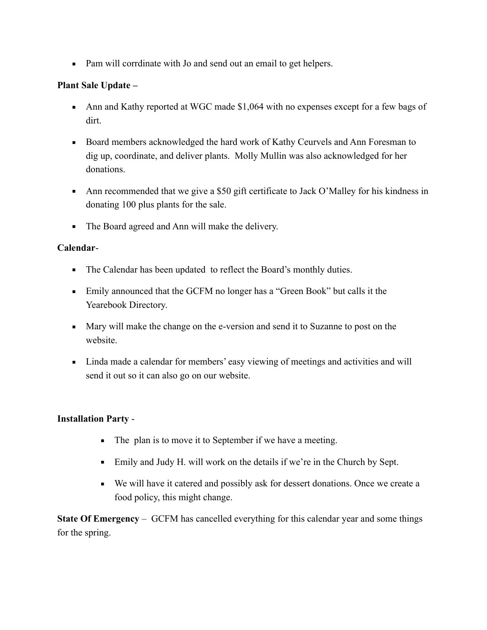■ Pam will corrdinate with Jo and send out an email to get helpers.

### **Plant Sale Update –**

- Ann and Kathy reported at WGC made \$1,064 with no expenses except for a few bags of dirt.
- Board members acknowledged the hard work of Kathy Ceurvels and Ann Foresman to dig up, coordinate, and deliver plants. Molly Mullin was also acknowledged for her donations.
- Ann recommended that we give a \$50 gift certificate to Jack O'Malley for his kindness in donating 100 plus plants for the sale.
- The Board agreed and Ann will make the delivery.

### **Calendar**-

- The Calendar has been updated to reflect the Board's monthly duties.
- **Emily announced that the GCFM no longer has a "Green Book" but calls it the** Yearebook Directory.
- Mary will make the change on the e-version and send it to Suzanne to post on the website.
- Linda made a calendar for members' easy viewing of meetings and activities and will send it out so it can also go on our website.

#### **Installation Party** -

- The plan is to move it to September if we have a meeting.
- Emily and Judy H. will work on the details if we're in the Church by Sept.
- We will have it catered and possibly ask for dessert donations. Once we create a food policy, this might change.

**State Of Emergency** – GCFM has cancelled everything for this calendar year and some things for the spring.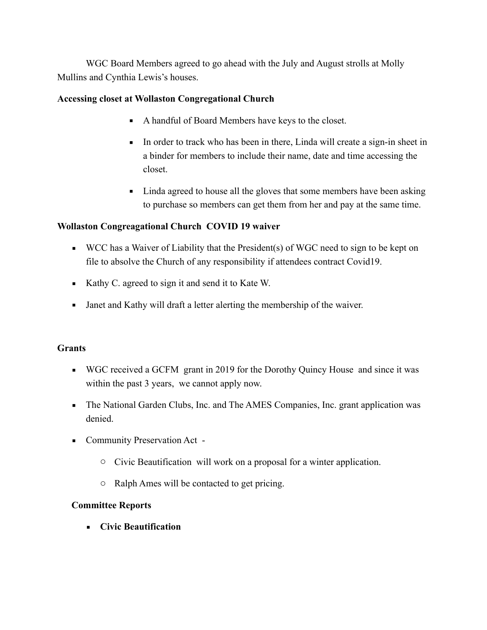WGC Board Members agreed to go ahead with the July and August strolls at Molly Mullins and Cynthia Lewis's houses.

#### **Accessing closet at Wollaston Congregational Church**

- A handful of Board Members have keys to the closet.
- In order to track who has been in there, Linda will create a sign-in sheet in a binder for members to include their name, date and time accessing the closet.
- Linda agreed to house all the gloves that some members have been asking to purchase so members can get them from her and pay at the same time.

### **Wollaston Congreagational Church COVID 19 waiver**

- $\blacksquare$  WCC has a Waiver of Liability that the President(s) of WGC need to sign to be kept on file to absolve the Church of any responsibility if attendees contract Covid19.
- Kathy C. agreed to sign it and send it to Kate W.
- **•** Janet and Kathy will draft a letter alerting the membership of the waiver.

### **Grants**

- WGC received a GCFM grant in 2019 for the Dorothy Quincy House and since it was within the past 3 years, we cannot apply now.
- The National Garden Clubs, Inc. and The AMES Companies, Inc. grant application was denied.
- Community Preservation Act
	- o Civic Beautification will work on a proposal for a winter application.
	- o Ralph Ames will be contacted to get pricing.

### **Committee Reports**

▪ **Civic Beautification**